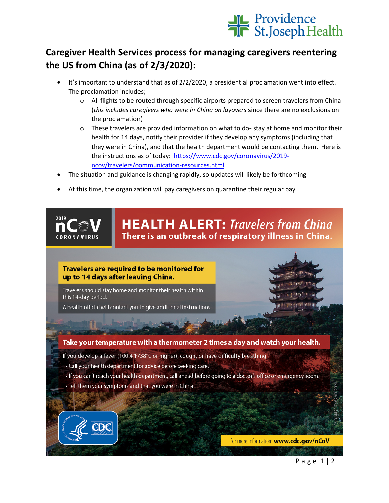

## **Caregiver Health Services process for managing caregivers reentering the US from China (as of 2/3/2020):**

- It's important to understand that as of 2/2/2020, a presidential proclamation went into effect. The proclamation includes;
	- $\circ$  All flights to be routed through specific airports prepared to screen travelers from China (*this includes caregivers who were in China on layovers* since there are no exclusions on the proclamation)
	- $\circ$  These travelers are provided information on what to do-stay at home and monitor their health for 14 days, notify their provider if they develop any symptoms (including that they were in China), and that the health department would be contacting them. Here is the instructions as of today: [https://www.cdc.gov/coronavirus/2019](https://www.cdc.gov/coronavirus/2019-ncov/travelers/communication-resources.html) [ncov/travelers/communication-resources.html](https://www.cdc.gov/coronavirus/2019-ncov/travelers/communication-resources.html)
- The situation and guidance is changing rapidly, so updates will likely be forthcoming
- At this time, the organization will pay caregivers on quarantine their regular pay



**HEALTH ALERT: Travelers from China** There is an outbreak of respiratory illness in China.

## Travelers are required to be monitored for up to 14 days after leaving China.

Travelers should stay home and monitor their health within this 14-day period.

A health official will contact you to give additional instructions.

## Take your temperature with a thermometer 2 times a day and watch your health.

- If you develop a fever (100.4°F/38°C or higher), cough, or have difficulty breathing:
- Call your health department for advice before seeking care.
- . If you can't reach your health department, call ahead before going to a doctor's office or emergency room.
- Tell them your symptoms and that you were in China.



For more information: www.cdc.gov/nCoV